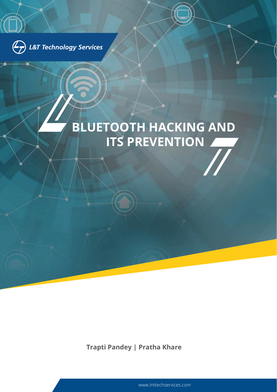

# **BLUETOOTH HACKING AND ITS PREVENTION**

**Trapti Pandey | Pratha Khare**

www.lnttechservices.com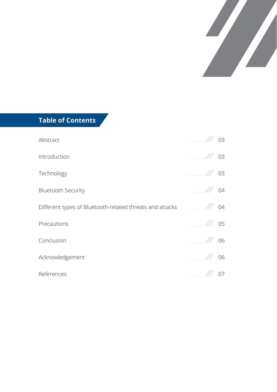

#### **Table of Contents**

| Abstract                                                 | 03 |
|----------------------------------------------------------|----|
| Introduction                                             | 03 |
| Technology                                               | 03 |
| <b>Bluetooth Security</b>                                | 04 |
| Different types of Bluetooth-related threats and attacks | 04 |
| Precautions                                              | 05 |
| Conclusion                                               | 06 |
| Acknowledgement                                          | 06 |
| References                                               | 07 |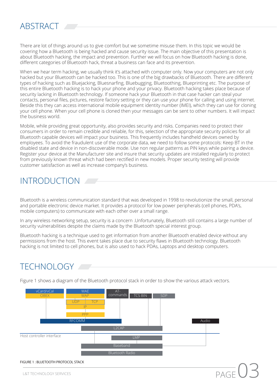# **ABSTRACT**

There are lot of things around us to give comfort but we sometime misuse them. In this topic we would be covering how a Bluetooth is being hacked and cause security issue. The main objective of this presentation is about Bluetooth hacking, the impact and prevention. Further we will focus on how Bluetooth hacking is done, different categories of Bluetooth hack, threat a business can face and its prevention.

When we hear term hacking, we usually think it's attached with computer only. Now your computers are not only hacked but your Bluetooth can be hacked too. This is one of the big drawbacks of Bluetooth. There are different types of hacking such as Bluejacking, Bluesnarfing, Bluebugging, Bluetoothing, Blueprinting etc. The purpose of this entire Bluetooth hacking is to hack your phone and your privacy. Bluetooth hacking takes place because of security lacking in Bluetooth technology. If someone hack your Bluetooth in that case hacker can steal your contacts, personal files, pictures, restore factory setting or they can use your phone for calling and using internet. Beside this they can access international mobile equipment identity number (IMEI), which they can use for cloning your cell phone. When your cell phone is cloned then your messages can be sent to other numbers. It will impact the business world.

Mobile, while providing great opportunity, also provides security and risks. Companies need to protect their consumers in order to remain credible and reliable, for this, selection of the appropriate security policies for all Bluetooth capable devices will impact your business. This frequently includes handheld devices owned by employees. To avoid the fraudulent use of the corporate data, we need to follow some protocols: Keep BT in the disabled state and device in non-discoverable mode. Use non regular patterns as PIN keys while pairing a device. Register your device at the Manufacturer site and insure that security updates are installed regularly to protect from previously known threat which had been rectified in new models. Proper security testing will provide customer satisfaction as well as increase company's business.

# INTRODUCTION

Bluetooth is a wireless communication standard that was developed in 1998 to revolutionize the small, personal and portable electronic device market. It provides a protocol for low power peripherals (cell phones, PDA's, mobile computers) to communicate with each other over a small range.

In any wireless networking setup, security is a concern .Unfortunately, Bluetooth still contains a large number of security vulnerabilities despite the claims made by the Bluetooth special interest group.

Bluetooth hacking is a technique used to get information from another Bluetooth enabled device without any permissions from the host. This event takes place due to security flaws in Bluetooth technology. Bluetooth hacking is not limited to cell phones, but is also used to hack PDAs, Laptops and desktop computers.

# **TECHNOLOGY**

Figure 1 shows a diagram of the Bluetooth protocol stack in order to show the various attack vectors.

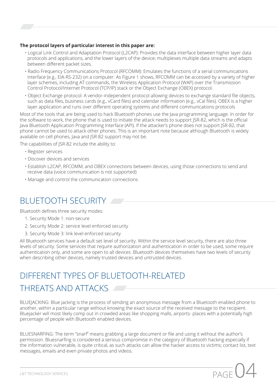#### **The protocol layers of particular interest in this paper are:**

- Logical Link Control and Adaptation Protocol (L2CAP): Provides the data interface between higher layer data protocols and applications, and the lower layers of the device; multiplexes multiple data streams and adapts between different packet sizes.
- Radio Frequency Communications Protocol (RFCOMM): Emulates the functions of a serial communications interface (e.g., EIA-RS-232) on a computer. As Figure 1 shows, RFCOMM can be accessed by a variety of higher layer schemes, including AT commands, the Wireless Application Protocol (WAP) over the Transmission Control Protocol/Internet Protocol (TCP/IP) stack or the Object Exchange (OBEX) protocol.
- Object Exchange protocol: A vendor-independent protocol allowing devices to exchange standard file objects, such as data files, business cards (e.g., vCard files) and calendar information (e.g., vCal files). OBEX is a higher layer application and runs over different operating systems and different communications protocols

Most of the tools that are being used to hack Bluetooth phones use the Java programming language. In order for the software to work, the phone that is used to initiate the attack needs to support JSR-82, which is the official Java Bluetooth Application Programming Interface (API). If the attacker's phone does not support JSR-82, that phone cannot be used to attack other phones. This is an important note because although Bluetooth is widely available on cell phones, Java and JSR-82 support may not be.

The capabilities of JSR-82 include the ability to:

- Register services
- Discover devices and services
- Establish L2CAP, RFCOMM, and OBEX connections between devices, using those connections to send and receive data (voice communication is not supported)
- Manage and control the communication connections

### BLUFTOOTH SECURITY

Bluetooth defines three security modes:

- 1. Security Mode 1: non-secure
- 2. Security Mode 2: service level enforced security
- 3. Security Mode 3: link level enforced security

All Bluetooth services have a default set level of security. Within the service level security, there are also three levels of security. Some services that require authorization and authentication in order to be used, some require authentication only, and some are open to all devices .Bluetooth devices themselves have two levels of security when describing other devices, namely trusted devices and untrusted devices.

# DIFFERENT TYPES OF BLUETOOTH-RELATED THREATS AND ATTACKS

BLUEJACKING: Blue jacking is the process of sending an anonymous message from a Bluetooth enabled phone to another, within a particular range without knowing the exact source of the received message to the recipient. Bluejacker will most likely comp out in crowded areas like shopping malls, airports- places with a potentially high percentage of people with Bluetooth enabled devices.

BLUESNARFING: The term "snarf" means grabbing a large document or file and using it without the author's permission. Bluesnarfing is considered a serious compromise in the category of Bluetooth hacking especially if the information vulnerable, is quite critical, as such attacks can allow the hacker access to victims; contact list, text messages, emails and even private photos and videos.

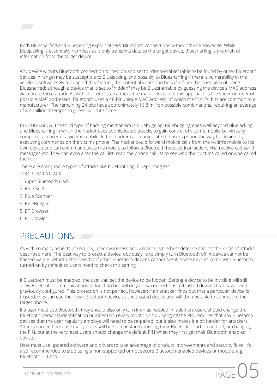Both Bluesnarfing and Bluejacking exploit others' Bluetooth connections without their knowledge. While Bluejacking is essentially harmless as it only transmits data to the target device, Bluesnarfing is the theft of information from the target device.

Any device with its Bluetooth connection turned on and set to "discoverable" (able to be found by other Bluetooth devices in range) may be susceptible to Bluejacking, and possibly to Bluesnarfing if there is vulnerability in the vendor's software. By turning off this feature, the potential victim can be safer from the possibility of being Bluesnarfed; although a device that is set to "hidden" may be Bluesnarfable by guessing the device's MAC address via a brute force attack. As with all brute force attacks, the main obstacle to this approach is the sheer number of possible MAC addresses. Bluetooth uses a 48-bit unique MAC Address, of which the first 24 bits are common to a manufacturer. The remaining 24 bits have approximately 16.8 million possible combinations, requiring an average of 8.4 million attempts to guess by brute force.

BLUEBUGGING: The third type of hacking mechanism is Bluebugging; Bluebugging goes well beyond Bluejacking and Bluesnarfing in which the hacker uses sophisticated attacks to gain control of victim's mobile i.e. virtually complete takeover of a victims mobile. In this hacker can manipulate the users phone the way he desires by executing commands on the victims phone. The hacker could forward mobile calls from the victim's mobile to his own device and can even manipulate the mobile to follow a Bluetooth headset instructions like; receive call, send messages etc. They can even alter the call list, read the phone call list to see who their victims called or who called them.

There are many more types of attacks like bluetoothing, blueprinting etc.

TOOLS FOR ATTACK:

- 1 Super Bluetooth Hack
- 2. Blue Sniff
- 3. Blue Scanner
- 4. BlueBugger
- 5. BT Browser
- 6. BT Crawler

# PRECAUTIONS

As with so many aspects of security, user awareness and vigilance is the best defence against the kinds of attacks described here. The best way to protect a device, obviously, is to simply turn Bluetooth off. A device cannot be hacked via a Bluetooth attack vector if other Bluetooth devices cannot see it. Some devices come with Bluetooth turned on by default so users need to check this setting.

If Bluetooth must be enabled, the user can set the device to be hidden .Setting a device to be invisible will still allow Bluetooth communications to function but will only allow connections to trusted devices that have been previously configured. This protection is not perfect, however; if an attacker finds out that a particular device is trusted, they can use their own Bluetooth device as the trusted device and will then be able to connect to the target phone.

If a user must use Bluetooth, they should also only turn it on as needed. In addition, users should change their Bluetooth personal identification number (PIN) every month or so. Changing the PIN requires that any Bluetooth devices that the user regularly employs will need to be re-paired, but it also makes it a bit harder for attackers. Attacks succeed because many users will balk at constantly turning their Bluetooth port on and off, or changing the PIN, but at the very least users should change the default PIN when they first get their Bluetooth enabled device.

User must use updated software and drivers to take advantage of product improvements and security fixes .It's also recommended to stop using a non-supported or not secure Bluetooth-enabled devices or module, e.g. Bluetooth 1.0 and 1.2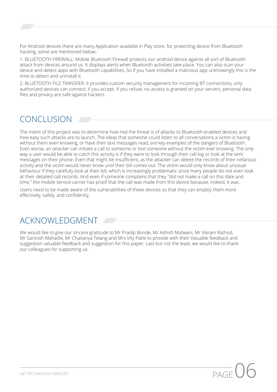For Android devices there are many Application available in Play store, for protecting device from Bluetooth hacking, some are mentioned below:-

1. BLUETOOTH FIREWALL: Mobile Bluetooth Firewall protects our android device against all sort of Bluetooth attack from devices around us. It displays alerts when Bluetooth activities take place. You can also scan your device and detect apps with Bluetooth capabilities. So if you have installed a malicious app unknowingly this is the time to detect and uninstall it.

2. BLUETOOTH FILE TRANSFER: It provides custom security management for incoming BT connections, only authorized devices can connect, if you accept. If you refuse, no access is granted on your servers, personal data files and privacy are safe against hackers.

# CONCLUSION

The intent of this project was to determine how real the threat is of attacks to Bluetooth-enabled devices and how easy such attacks are to launch. The ideas that someone could listen to all conversations a victim is having without them even knowing, or have their text messages read, are key examples of the dangers of Bluetooth. Even worse, an attacker can initiate a call to someone or text someone without the victim ever knowing. The only way a user would be able to catch this activity is if they were to look through their call log or look at the sent messages on their phone. Even that might be insufficient, as the attacker can delete the records of their nefarious activity and the victim would never know until their bill comes out. The victim would only know about unusual behaviour if they carefully look at their bill, which is increasingly problematic since many people do not even look at their detailed call records. And even if someone complains that they "did not make a call on this date and time," the mobile service carrier has proof that the call was made from this device because, indeed, it was.

Users need to be made aware of the vulnerabilities of these devices so that they can employ them more effectively, safely, and confidently.

# ACKNOWLEDGMENT

We would like to give our sincere gratitude to Mr Pradip Bonde, Mr Ashish Motwani, Mr Vikram Rathod, Mr Santosh Mahadik, Mr Chaitanya Telang and Mrs Vity Patle to provide with their Valuable feedback and suggestion valuable feedback and suggestion for this paper. Last but not the least; we would like to thank our colleagues for supporting us.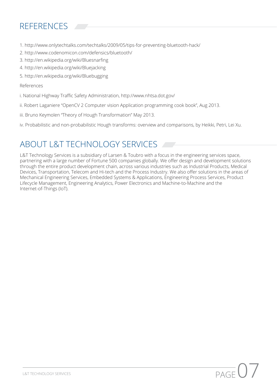# REFERENCES

- 1. http://www.onlytechtalks.com/techtalks/2009/05/tips-for-preventing-bluetooth-hack/
- 2. http://www.codenomicon.com/defensics/bluetooth/
- 3. http://en.wikipedia.org/wiki/Bluesnarfing
- 4. http://en.wikipedia.org/wiki/Bluejacking
- 5. http://en.wikipedia.org/wiki/Bluebugging

#### References

- i. National Highway Traffic Safety Administration, http://www.nhtsa.dot.gov/
- ii. Robert Laganiere "OpenCV 2 Computer vision Application programming cook book", Aug 2013.
- iii. Bruno Keymolen "Theory of Hough Transformation" May 2013.
- iv. Probabilistic and non-probabilistic Hough transforms: overview and comparisons, by Heikki, Petri, Lei Xu.

# ABOUT L&T TECHNOLOGY SERVICES

L&T Technology Services is a subsidiary of Larsen & Toubro with a focus in the engineering services space, partnering with a large number of Fortune 500 companies globally. We offer design and development solutions through the entire product development chain, across various industries such as Industrial Products, Medical Devices, Transportation, Telecom and Hi-tech and the Process Industry. We also offer solutions in the areas of Mechanical Engineering Services, Embedded Systems & Applications, Engineering Process Services, Product Lifecycle Management, Engineering Analytics, Power Electronics and Machine-to-Machine and the Internet-of-Things (IoT).